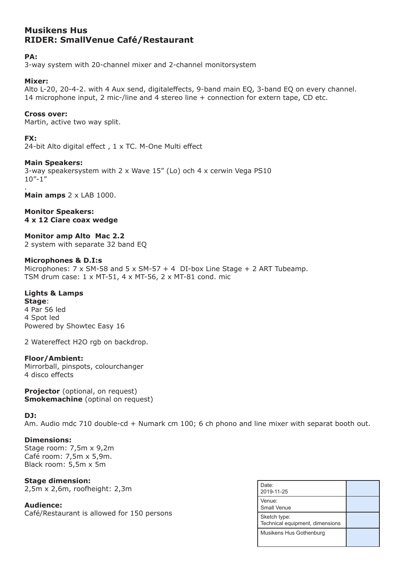# **Musikens Hus RIDER: SmallVenue Café/Restaurant**

# **PA:**

3-way system with 20-channel mixer and 2-channel monitorsystem

## **Mixer:**

Alto L-20, 20-4-2. with 4 Aux send, digitaleffects, 9-band main EQ, 3-band EQ on every channel. 14 microphone input, 2 mic-/line and 4 stereo line + connection for extern tape, CD etc.

## **Cross over:**

Martin, active two way split.

## **FX:**

24-bit Alto digital effect , 1 x TC. M-One Multi effect

## **Main Speakers:**

3-way speakersystem with 2 x Wave 15" (Lo) och 4 x cerwin Vega PS10 10"-1"

. **Main amps**  $2 \times$  LAB 1000.

#### **Monitor Speakers: 4 x 12 Ciare coax wedge**

**Monitor amp Alto Mac 2.2** 

2 system with separate 32 band EQ

#### **Microphones & D.I:s**

Microphones:  $7 \times SM-58$  and  $5 \times SM-57 + 4$  DI-box Line Stage + 2 ART Tubeamp. TSM drum case: 1 x MT-51, 4 x MT-56, 2 x MT-81 cond. mic

## **Lights & Lamps**

**Stage**: 4 Par 56 led 4 Spot led Powered by Showtec Easy 16

2 Watereffect H2O rgb on backdrop.

## **Floor/Ambient:**

Mirrorball, pinspots, colourchanger 4 disco effects

**Projector** (optional, on request) **Smokemachine** (optinal on request)

## **DJ:**

Am. Audio mdc 710 double-cd + Numark cm 100; 6 ch phono and line mixer with separat booth out.

## **Dimensions:**

Stage room: 7,5m x 9,2m Café room: 7,5m x 5,9m. Black room: 5,5m x 5m

**Stage dimension:** 2,5m x 2,6m, roofheight: 2,3m

**Audience:** Café/Restaurant is allowed for 150 persons

| Date:<br>2019-11-25                             |  |
|-------------------------------------------------|--|
| Venue:<br>Small Venue                           |  |
| Sketch type:<br>Technical equipment, dimensions |  |
| Musikens Hus Gothenburg                         |  |